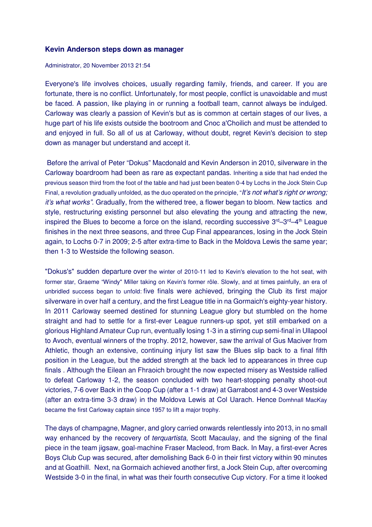## **Kevin Anderson steps down as manager**

Administrator, 20 November 2013 21:54

Everyone's life involves choices, usually regarding family, friends, and career. If you are fortunate, there is no conflict. Unfortunately, for most people, conflict is unavoidable and must be faced. A passion, like playing in or running a football team, cannot always be indulged. Carloway was clearly a passion of Kevin's but as is common at certain stages of our lives, a huge part of his life exists outside the bootroom and Cnoc a'Choilich and must be attended to and enjoyed in full. So all of us at Carloway, without doubt, regret Kevin's decision to step down as manager but understand and accept it.

 Before the arrival of Peter "Dokus" Macdonald and Kevin Anderson in 2010, silverware in the Carloway boardroom had been as rare as expectant pandas. Inheriting a side that had ended the previous season third from the foot of the table and had just been beaten 0-4 by Lochs in the Jock Stein Cup Final, a revolution gradually unfolded, as the duo operated on the principle, "It's not what's right or wrong; it's what works". Gradually, from the withered tree, a flower began to bloom. New tactics and style, restructuring existing personnel but also elevating the young and attracting the new, inspired the Blues to become a force on the island, recording successive  $3^{rd}-3^{rd}-4^{th}$  League finishes in the next three seasons, and three Cup Final appearances, losing in the Jock Stein again, to Lochs 0-7 in 2009; 2-5 after extra-time to Back in the Moldova Lewis the same year; then 1-3 to Westside the following season.

"Dokus's" sudden departure over the winter of 2010-11 led to Kevin's elevation to the hot seat, with former star, Graeme "Windy" Miller taking on Kevin's former rôle. Slowly, and at times painfully, an era of unbridled success began to unfold: five finals were achieved, bringing the Club its first major silverware in over half a century, and the first League title in na Gormaich's eighty-year history. In 2011 Carloway seemed destined for stunning League glory but stumbled on the home straight and had to settle for a first-ever League runners-up spot, yet still embarked on a glorious Highland Amateur Cup run, eventually losing 1-3 in a stirring cup semi-final in Ullapool to Avoch, eventual winners of the trophy. 2012, however, saw the arrival of Gus Maciver from Athletic, though an extensive, continuing injury list saw the Blues slip back to a final fifth position in the League, but the added strength at the back led to appearances in three cup finals . Although the Eilean an Fhraoich brought the now expected misery as Westside rallied to defeat Carloway 1-2, the season concluded with two heart-stopping penalty shoot-out victories, 7-6 over Back in the Coop Cup (after a 1-1 draw) at Garrabost and 4-3 over Westside (after an extra-time 3-3 draw) in the Moldova Lewis at Col Uarach. Hence Domhnall MacKay became the first Carloway captain since 1957 to lift a major trophy.

The days of champagne, Magner, and glory carried onwards relentlessly into 2013, in no small way enhanced by the recovery of terquartista, Scott Macaulay, and the signing of the final piece in the team jigsaw, goal-machine Fraser Macleod, from Back. In May, a first-ever Acres Boys Club Cup was secured, after demolishing Back 6-0 in their first victory within 90 minutes and at Goathill. Next, na Gormaich achieved another first, a Jock Stein Cup, after overcoming Westside 3-0 in the final, in what was their fourth consecutive Cup victory. For a time it looked